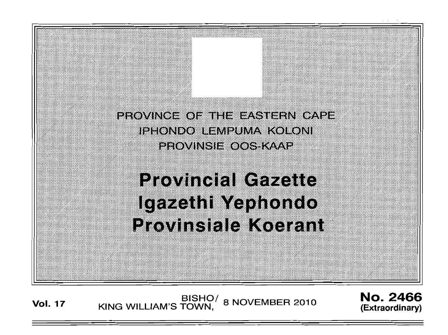

Vol. 17 BISHO/ 8 NOVEMBER 2010 **No. 2466**<br>(Extraordinary) KING WILLIAM'S TOWN,

**(Extraordinary)**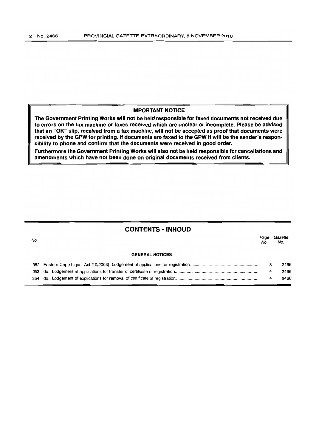# IMPORTANT NOTICE

The Government Printing Works will not be held responsible for faxed documents not received due to errors on the fax machine or faxes received which are unclear or incomplete. Please be advised that an "OK" slip, received from a fax machine, will not be accepted as proof that documents were received by the GPW for printing. If documents are faxed to the GPW it will be the sender's responsibility to phone and confirm that the documents were received in good order.

Furthermore the Government Printing Works will also not be held responsible for cancellations and amendments which have not been done on original documents received from clients.

# CONTENTS ·INHOUD

| No. |                        | Page<br>No. | Gazette<br>No. |
|-----|------------------------|-------------|----------------|
|     | <b>GENERAL NOTICES</b> |             |                |
|     |                        |             | 2466           |
|     |                        | 4           | 2466           |
|     |                        | 4           | 2466           |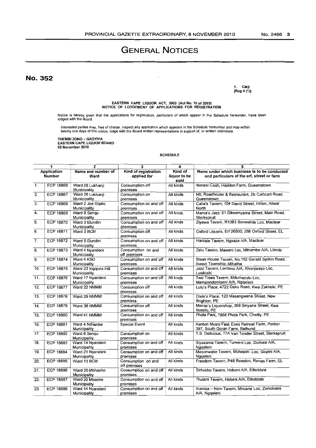# **No.3S2**

1. CM3 [Reg 4 (1)]

EASTERN CAPE LIQUOR ACT, 2003 (Act No. 10 of 2003) NOTICE OF LODGEMENT Of APPLICATIONS FOR REGISTRATION

 $\cdot$ 

Notice is hereby given that the applications for registration, particulars of which appear in the Schedule hereunder, have been lodged with the Board.

Interested parties may, free of charge, inspect any application which appears in the Schedule hereunder and may within<br>twenty one days of this notice, lodge with the Board written representations in support of, or written

THEMBI ZONO - GXOYIYA EASTERN CAPE LIQUOR BOARD 02 November 2010

#### SCHEDULE

| $\mathbf{1}$                 |                  | $\mathbf{2}$                         | 3                                   | 4                               | 5                                                                                          |
|------------------------------|------------------|--------------------------------------|-------------------------------------|---------------------------------|--------------------------------------------------------------------------------------------|
| Application<br><b>Number</b> |                  | Name and number of<br>Ward           | Kind of registration<br>applied for | Kind of<br>liquor to be<br>sold | Name under which business is to be conducted<br>and particulars of the erf, street or farm |
| $\mathbf{1}$ .               | <b>ECP 18866</b> | Ward 26 Lukhanji<br>Municipality     | Consumption off<br>premises         | All kinds                       | Nonesi Cash, Haddon Farm, Queenstown                                                       |
| $\overline{2}$ .             | <b>ECP 18867</b> | Ward 26 Lukhanji<br>Municipality     | Consumption on<br>premises          | All kinds                       | N6, Roadhouse & Restaurant, 2b Cathcart Road,<br>Queenstown                                |
| $\overline{3}$ .             | <b>ECP 18868</b> | Ward 2 Joe Ggabi<br>Municipality     | Consumption on and off<br>premises  | All kinds                       | Calla's Tavern, 104 David Street, Hilton, Aliwal<br>North                                  |
| $\overline{4}$ .             | <b>ECP 18869</b> | Ward 8 Sengu<br>Municipality         | Consumption on and off<br>premises  | All kinds                       | Mama's Jazz, 51 Dikwenyama Street, Main Road,<br>Sterkspruit                               |
| 5.                           | <b>ECP 18870</b> | Ward 3 Elundini<br>Municipality      | Consumption on and off<br>premises  | All kinds                       | Ziyawa Tavern, R1383 Sonwabile Loc, Maclear                                                |
| 6.                           | <b>ECP 18871</b> | Ward 3 BCM                           | Consumption off<br>premises         | All kinds                       | Oxford Liquors, Erf 26500, 268 Oxford Street, EL                                           |
| $\overline{7}$ .             | <b>ECP 18872</b> | Ward 5 Elundini<br>Municipality      | Consumption on and off<br>premises  | All kinds                       | Hardale Tavern, Ngxaza A/A, Maclear                                                        |
| $\overline{8}$ .             | <b>ECP 18873</b> | Ward 4 Nyandeni<br>Municipality      | Consumption on and<br>off premises  | All kinds                       | Zalu Tavern, Maweni Loc, Mthombe A/A, Libode                                               |
| 9.                           | <b>ECP 18874</b> | Ward 4 KSD<br>Municipality           | Consumption on and off<br>premises  | All kinds                       | Steak House Tavern, No.152 Gerald Spilkin Road,<br>ikwezi Township, Mthatha                |
| 10.                          | <b>ECP 18875</b> | Ward 23 Ingquza Hill<br>Municipality | Consumption on and off<br>premises  | All kinds                       | Jazz Tavern, Lambesi A/A, Khonjwayo Loc,<br>Lusikisiki                                     |
| 11.                          | <b>ECP 18876</b> | Ward 17 Nyandeni<br>Municipality     | Consumption on and off<br>premises  | All kinds                       | Two Trees Tavern, Mdumazulu Loc,<br>Mampondomiseni A/A, Ngqeleni                           |
| 12.                          | <b>ECP 18877</b> | Ward 22 NMMM                         | Consumption off<br>premises         | All kinds                       | Lulu's Place, 4722 Daku Road, Kwa Zakhele, PE                                              |
| 13.                          | <b>ECP 18878</b> | Ward 29 NMMM                         | Consumption on and off<br>premises  | All kinds                       | Dlele's Place, 120 Masangwana Street, New<br>Brighton, PE                                  |
| $\overline{14}$ .            | <b>ECP 18879</b> | Ward 38 NMMM                         | Consumption off<br>premises         | All kinds                       | Mamie's Liquorshop, 268 Sinyane Street, Kwa<br>Noxolo, PE                                  |
| $\overline{15}$ .            | <b>ECP 18880</b> | Ward 41 NMMM                         | Consumption on and off<br>premises  | All kinds                       | Phola Park, 7868 Phola Park, Chetty, PE                                                    |
| 16.                          | <b>ECP 18881</b> | Ward 4 Ndlambe<br>Municipality       | <b>Special Event</b>                | All kinds                       | Kenton Music Fest, Eves Retreat Farm, Portion<br>397, South Gorah Farm, Bathurst           |
| 17 <sub>1</sub>              | <b>ECP 18882</b> | Ward 8 Sengu<br>Municipality         | Consumption on<br>premises          | All kinds                       | T.S. Delicious, 17A Van Tonder Street, Sterkspruit                                         |
| 18.                          | <b>ECP 18883</b> | Ward 14 Nyandeni<br>Municipality     | Consumption on and off<br>premises  | All kinds                       | Sivazama Tavern, Turweni Loc, Dumasi A/A,<br>Nggeleni                                      |
| 19.                          | <b>ECP 18884</b> | Ward 21 Nyandeni<br>Municipality     | Consumption on and off<br>premises  | All kinds                       | Masonwabe Tavern, Mchapati Loc, Gopini A/A,<br>Nggeleni                                    |
| 20.                          | <b>ECP 18885</b> | Ward 13 BCM                          | Consumption on and<br>off premises  | All kinds                       | Freedom Tavern, P48 Reeston, Renas Farm, EL                                                |
| 21.                          | <b>ECP 18886</b> | Ward 20 Mbhashe<br>Municipality      | Consumption on and off<br>premises  | All kinds                       | Skhokho Tavern, Hobeni A/A, Elliotdale                                                     |
| $\overline{22}$              | <b>ECP 18887</b> | Ward 20 Mbashe<br>Municipality       | Consumption on and off<br>premises  | All kinds                       | Thulani Tavern, Hobeni A/A, Elliotdale                                                     |
| 23.                          | <b>ECP 18888</b> | Ward 14 Nyandeni<br>Municipality     | Consumption on and off<br>premises  | All kinds                       | Vumisa - Nam Tavern, Mncane Loc, Zixholosini<br>A/A, Ngqeleni                              |